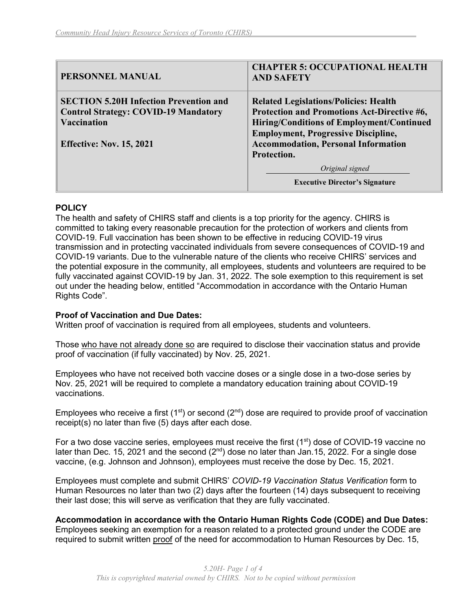| PERSONNEL MANUAL                              | <b>CHAPTER 5: OCCUPATIONAL HEALTH</b><br><b>AND SAFETY</b> |
|-----------------------------------------------|------------------------------------------------------------|
| <b>SECTION 5.20H Infection Prevention and</b> | <b>Related Legislations/Policies: Health</b>               |
| <b>Control Strategy: COVID-19 Mandatory</b>   | Protection and Promotions Act-Directive #6,                |
| <b>Vaccination</b>                            | Hiring/Conditions of Employment/Continued                  |
|                                               | <b>Employment, Progressive Discipline,</b>                 |
| <b>Effective: Nov. 15, 2021</b>               | <b>Accommodation, Personal Information</b>                 |
|                                               | Protection.                                                |
|                                               | Original signed                                            |
|                                               | <b>Executive Director's Signature</b>                      |

#### **POLICY**

The health and safety of CHIRS staff and clients is a top priority for the agency. CHIRS is committed to taking every reasonable precaution for the protection of workers and clients from COVID-19. Full vaccination has been shown to be effective in reducing COVID-19 virus transmission and in protecting vaccinated individuals from severe consequences of COVID-19 and COVID-19 variants. Due to the vulnerable nature of the clients who receive CHIRS' services and the potential exposure in the community, all employees, students and volunteers are required to be fully vaccinated against COVID-19 by Jan. 31, 2022. The sole exemption to this requirement is set out under the heading below, entitled "Accommodation in accordance with the Ontario Human Rights Code".

### **Proof of Vaccination and Due Dates:**

Written proof of vaccination is required from all employees, students and volunteers.

Those who have not already done so are required to disclose their vaccination status and provide proof of vaccination (if fully vaccinated) by Nov. 25, 2021.

Employees who have not received both vaccine doses or a single dose in a two-dose series by Nov. 25, 2021 will be required to complete a mandatory education training about COVID-19 vaccinations.

Employees who receive a first (1<sup>st</sup>) or second (2<sup>nd</sup>) dose are required to provide proof of vaccination receipt(s) no later than five (5) days after each dose.

For a two dose vaccine series, employees must receive the first  $(1<sup>st</sup>)$  dose of COVID-19 vaccine no later than Dec. 15, 2021 and the second ( $2<sup>nd</sup>$ ) dose no later than Jan. 15, 2022. For a single dose vaccine, (e.g. Johnson and Johnson), employees must receive the dose by Dec. 15, 2021.

Employees must complete and submit CHIRS' *COVID-19 Vaccination Status Verification* form to Human Resources no later than two (2) days after the fourteen (14) days subsequent to receiving their last dose; this will serve as verification that they are fully vaccinated.

**Accommodation in accordance with the Ontario Human Rights Code (CODE) and Due Dates:** Employees seeking an exemption for a reason related to a protected ground under the CODE are required to submit written proof of the need for accommodation to Human Resources by Dec. 15,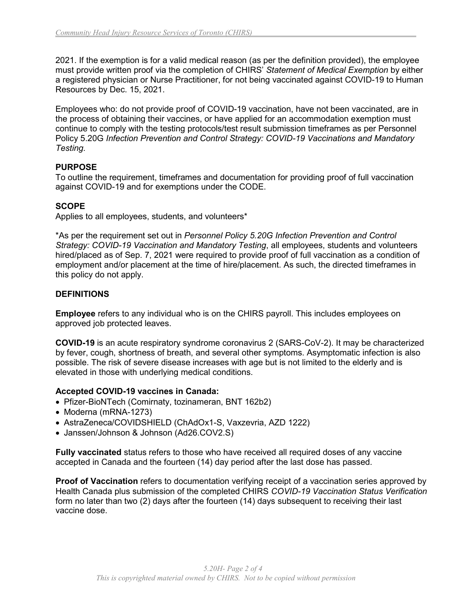2021. If the exemption is for a valid medical reason (as per the definition provided), the employee must provide written proof via the completion of CHIRS' *Statement of Medical Exemption* by either a registered physician or Nurse Practitioner, for not being vaccinated against COVID-19 to Human Resources by Dec. 15, 2021.

Employees who: do not provide proof of COVID-19 vaccination, have not been vaccinated, are in the process of obtaining their vaccines, or have applied for an accommodation exemption must continue to comply with the testing protocols/test result submission timeframes as per Personnel Policy 5.20G *Infection Prevention and Control Strategy: COVID-19 Vaccinations and Mandatory Testing.*

## **PURPOSE**

To outline the requirement, timeframes and documentation for providing proof of full vaccination against COVID-19 and for exemptions under the CODE.

# **SCOPE**

Applies to all employees, students, and volunteers\*

\*As per the requirement set out in *Personnel Policy 5.20G Infection Prevention and Control Strategy: COVID-19 Vaccination and Mandatory Testing*, all employees, students and volunteers hired/placed as of Sep. 7, 2021 were required to provide proof of full vaccination as a condition of employment and/or placement at the time of hire/placement. As such, the directed timeframes in this policy do not apply.

### **DEFINITIONS**

**Employee** refers to any individual who is on the CHIRS payroll. This includes employees on approved job protected leaves.

**COVID-19** is an acute respiratory syndrome coronavirus 2 (SARS-CoV-2). It may be characterized by fever, cough, shortness of breath, and several other symptoms. Asymptomatic infection is also possible. The risk of severe disease increases with age but is not limited to the elderly and is elevated in those with underlying medical conditions.

### **Accepted COVID-19 vaccines in Canada:**

- Pfizer-BioNTech (Comirnaty, tozinameran, BNT 162b2)
- Moderna (mRNA-1273)
- AstraZeneca/COVIDSHIELD (ChAdOx1-S, Vaxzevria, AZD 1222)
- Janssen/Johnson & Johnson (Ad26.COV2.S)

**Fully vaccinated** status refers to those who have received all required doses of any vaccine accepted in Canada and the fourteen (14) day period after the last dose has passed.

**Proof of Vaccination** refers to documentation verifying receipt of a vaccination series approved by Health Canada plus submission of the completed CHIRS *COVID-19 Vaccination Status Verification* form no later than two (2) days after the fourteen (14) days subsequent to receiving their last vaccine dose.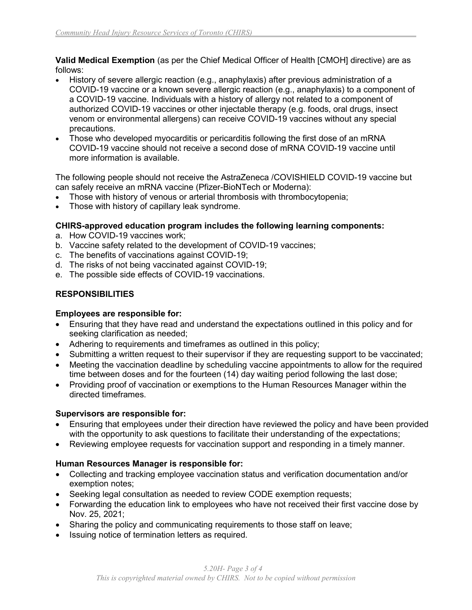**Valid Medical Exemption** (as per the Chief Medical Officer of Health [CMOH] directive) are as follows:

- History of severe allergic reaction (e.g., anaphylaxis) after previous administration of a COVID-19 vaccine or a known severe allergic reaction (e.g., anaphylaxis) to a component of a COVID-19 vaccine. Individuals with a history of allergy not related to a component of authorized COVID-19 vaccines or other injectable therapy (e.g. foods, oral drugs, insect venom or environmental allergens) can receive COVID-19 vaccines without any special precautions.
- Those who developed myocarditis or pericarditis following the first dose of an mRNA COVID-19 vaccine should not receive a second dose of mRNA COVID-19 vaccine until more information is available.

The following people should not receive the AstraZeneca /COVISHIELD COVID-19 vaccine but can safely receive an mRNA vaccine (Pfizer-BioNTech or Moderna):

- Those with history of venous or arterial thrombosis with thrombocytopenia;
- Those with history of capillary leak syndrome.

## **CHIRS-approved education program includes the following learning components:**

- a. How COVID-19 vaccines work;
- b. Vaccine safety related to the development of COVID-19 vaccines;
- c. The benefits of vaccinations against COVID-19;
- d. The risks of not being vaccinated against COVID-19;
- e. The possible side effects of COVID-19 vaccinations.

# **RESPONSIBILITIES**

### **Employees are responsible for:**

- Ensuring that they have read and understand the expectations outlined in this policy and for seeking clarification as needed;
- Adhering to requirements and timeframes as outlined in this policy;
- Submitting a written request to their supervisor if they are requesting support to be vaccinated;
- Meeting the vaccination deadline by scheduling vaccine appointments to allow for the required time between doses and for the fourteen (14) day waiting period following the last dose;
- Providing proof of vaccination or exemptions to the Human Resources Manager within the directed timeframes.

### **Supervisors are responsible for:**

- Ensuring that employees under their direction have reviewed the policy and have been provided with the opportunity to ask questions to facilitate their understanding of the expectations;
- Reviewing employee requests for vaccination support and responding in a timely manner.

# **Human Resources Manager is responsible for:**

- Collecting and tracking employee vaccination status and verification documentation and/or exemption notes;
- Seeking legal consultation as needed to review CODE exemption requests;
- Forwarding the education link to employees who have not received their first vaccine dose by Nov. 25, 2021;
- Sharing the policy and communicating requirements to those staff on leave;
- Issuing notice of termination letters as required.